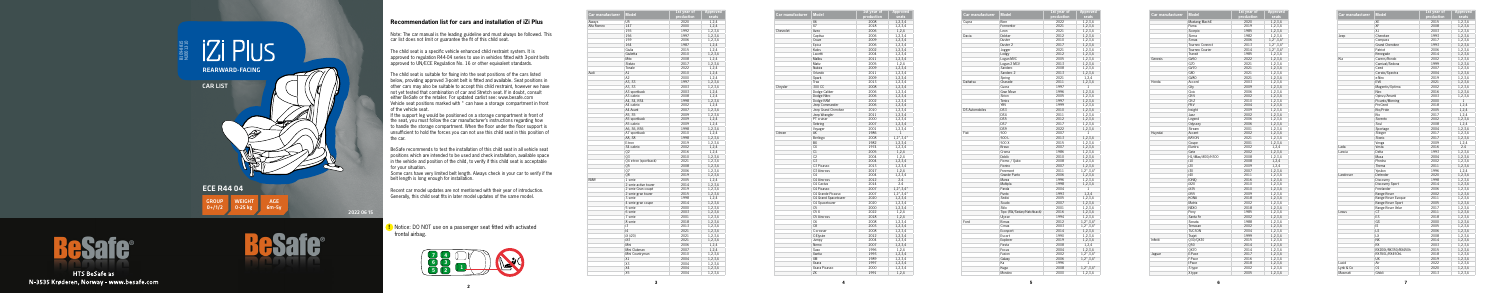**5**

**2**

## **Recommendation list for cars and installation of iZi Plus**

Note: The car manual is the leading guideline and must always be followed. This car list does not limit or guarantee the fit of this child seat.

The child seat is a specific vehicle enhanced child restraint system. It is approved to regulation R44-04 series to use in vehicles fitted with 3-point belts approved to UN/ECE Regulation No. 16 or other equivalent standards.

The child seat is suitable for fixing into the seat positions of the cars listed below, providing approved 3-point belt is fitted and available. Seat positions in other cars may also be suitable to accept this child restraint, however we have not yet tested that combination of car and Stretch seat. If in doubt, consult either BeSafe or the retailer. For updated carlist see: www.besafe.com Vehicle seat positions marked with \* can have a storage compartment in front of the vehicle seat.

If the support leg would be positioned on a storage compartment in front of the seat, you must follow the car manufacturer's instructions regarding how to handle the storage compartment. When the floor under the floor support is unsufficient to hold the forces you can not use this child seat in this position of the car.

BeSafe recommends to test the installation of this child seat in all vehicle seat positions which are intended to be used and check installation, available space in the vehicle and position of the child, to verify if this child seat is acceptable for your situation.

Some cars have very limited belt length. Always check in your car to verify if the belt length is long enough for installation.

Recent car model updates are not mentioned with their year of introduction. Generally, this child seat fits in later model updates of the same model.



**!** Notice: DO NOT use on a passenger seat fitted with activated frontal airbag.

| Car manufacturer | <b>Model</b>          | 1st year of<br>production | Approved<br>seats |
|------------------|-----------------------|---------------------------|-------------------|
| Aiways           | U <sub>5</sub>        | 2020                      | 1,2,4             |
| Alfa Romeo       | 147                   | 2000                      | 1,2,4             |
|                  | 155                   | 1992                      | 1,2,3,4           |
|                  | 156                   | 1997                      | 1,2,3,4           |
|                  | 159                   | 2006                      | 1,2,3,4           |
|                  | 164                   | 1987                      | 1,2,4             |
|                  | Giulia                | 2015                      | 1,2,4             |
|                  | Giulietta             | 2010                      | 1,2,3,4           |
|                  | Mito                  | 2008                      | 1,2,4             |
|                  | Stelvio               | 2017                      | 1,2,3,4           |
|                  | Tonale                | 2022                      | 1,2,4             |
| Audi             | A1                    | 2010                      | 1,2,4             |
|                  | A <sub>2</sub>        | 2000                      |                   |
|                  | A3, S3                |                           | 1,2,4             |
|                  |                       | 1997                      | 1,2,3,4           |
|                  | A3, S3                | 2003                      | 1,2,3,4           |
|                  | A3 sportback          | 2003                      | 1,2,4             |
|                  | A3 cabrio             | 2008                      | 1,2,4             |
|                  | A4, S4, RS4           | 1998                      | 1,2,3,4           |
|                  | A4 cabrio             | 2002                      | 1,2,4             |
|                  | A4 Avant              | 2007                      | 1,2,3,4           |
|                  | A5, S5                | 2009                      | 1,2,3,4           |
|                  | A5 sportback          | 2009                      | 1,2,4             |
|                  | A5 cabrio             | 2009                      | 1,2,4             |
|                  | A6, S6, RS6           | 1998                      | 1,2,3,4           |
|                  | A7 sportback          | 2010                      | 1,2,4             |
|                  | A8, S8                | 1998                      | 1,2,3,4           |
|                  | E-tron                | 2019                      | 1,2,3,4           |
|                  | S4 cabrio             | 2002                      | 1,2,4             |
|                  | 02                    | 2016                      | 1,2,4             |
|                  | 03                    | 2010                      | 1,2,3,4           |
|                  | 04 e-tron (sportback) | 2021                      | 1,2,3,4           |
|                  | Q5                    | 2008                      | 1,2,3,4           |
|                  | Q7                    | 2006                      | 1,2,3,4           |
|                  | 08                    | 2019                      | 1,2,3,4           |
| <b>BMW</b>       | 1 serie               | 2005                      | 1,2,4             |
|                  | 2 serie active tourer | 2014                      | 1,2,3,4           |
|                  | 2 serie Gran coupé    | 2019                      | 1,2,3,4           |
|                  | 2 serie gran tourer   | 2015                      | 1,2,3,4           |
|                  | 3 serie               | 1998                      | 1,2,4             |
|                  | 4 serie gran coupe    | 2014                      | 1,2,3,4           |
|                  | 5 serie               | 2000                      | 1,2,3,4           |
|                  | 6 serie               | 2003                      | 1,2,3,4           |
|                  | 7 serie               | 2001                      | 1,2,3,4           |
|                  | 8 serie               | 2018                      | 1,2,3,4           |
|                  | i3                    | 2013                      | 1,2,3,4           |
|                  | 4                     | 2021                      | 1,2,3,4           |
|                  | iX (i20)              | 2021                      | 1,2,3,4           |
|                  | iX3                   | 2021                      | 1,2,3,4           |
|                  | Mini                  | 2006                      | 1,2,4             |
|                  | Mini Clubman          | 2007                      | 1,2,4             |
|                  |                       |                           |                   |
|                  | Mini Countryman<br>X1 | 2010                      | 1,2,3,4           |
|                  |                       | 2004                      | 1,2,3,4           |
|                  | X3                    | 2004                      | 1,2,3,4           |
|                  | X4                    | 2004                      | 1,2,3,4           |
|                  | X5                    | 2004                      | 1,2,3,4           |





**HTS BeSafe as** N-3535 Krøderen, Norway - www.besafe.com

| Car manufacturer | <b>Model</b>            | 1st year of<br>production | <b>Approved</b>                |
|------------------|-------------------------|---------------------------|--------------------------------|
|                  | <b>X6</b>               |                           | seats                          |
|                  |                         | 2008                      | 1,2,3,4                        |
|                  | X7                      | 2018                      | 1,2,3,4                        |
| Chevrolet        | Aveo                    | 2006                      | 1,2,4                          |
|                  | Captiva                 | 2006                      | 1,2,3,4                        |
|                  | Cruze                   | 2009                      | 1,2,3,4                        |
|                  | Epica                   | 2006                      | 1,2,3,4                        |
|                  | Kalos                   | 2002                      | 1,2,3,4                        |
|                  | Lacetti                 | 2004                      | 1,2,3,4                        |
|                  | Malibu                  | 2011                      | 1,2,3,4                        |
|                  | Matiz                   | 2005                      | 1,2,4                          |
|                  | Nubira                  | 2009                      | 1,2,3,4                        |
|                  | Orlando                 | 2011                      | 1,2,3,4                        |
|                  | Spark                   | 2009                      | 1,2,3,4                        |
|                  | Trax                    | 2013                      | 1,2,3,4                        |
| Chrysler         | 300 CC                  | 2008                      | 1,2,3,4                        |
|                  | Dodge Caliber           | 2006                      | 1,2,3,4                        |
|                  | Dodge Nitro             | 2006                      | 1,2,3,4                        |
|                  | Dodge RAM               | 2002                      | 1,2,3,4                        |
|                  | Jeep Commander          | 2006                      | 1,2,3,4                        |
|                  | Jeep Grand Cherokee     | 2010                      | 1,2,3,4                        |
|                  | Jeep Wrangler           | 2011                      | 1,2,3,4                        |
|                  | PT cruiser              | 2000                      | 1,2,3,4                        |
|                  | Sebring                 | 2007                      | 1,2,3,4                        |
|                  | Voyager                 | 2001                      | 1,2,3,4                        |
| Citroen          | AX                      | 1986                      | 1                              |
|                  | Berlingo                | 2008                      | $1,2^*,3,4^*$                  |
|                  | <b>BX</b>               | 1982                      | 1,2,3,4                        |
|                  | <b>CX</b>               | 1974                      | 1,2,3,4                        |
|                  | C1                      | 2005                      | 1,2,4                          |
|                  | C <sub>2</sub>          | 2004                      | 1,2,4                          |
|                  | C <sub>3</sub>          | 2004                      | 1,2,3,4                        |
|                  | C3 Picasso              | 2013                      | 1,2,3,4                        |
|                  | C <sub>3</sub> Aircross | 2017                      | 1,2,4                          |
|                  | C <sub>4</sub>          | 2004                      | 1,2,3,4                        |
|                  | C4 Aircross             | 2012                      | 2.4                            |
|                  | C4 Cactus               | 2014                      | 2.4                            |
|                  | C4 Picasso              |                           |                                |
|                  |                         | 2007                      | $1,2^*,3,4^*$                  |
|                  | C4 Grande Picasso       | 2007                      | $1,2^{\star}$ , 3,4 $^{\star}$ |
|                  | C4 Grand Spacetourer    | 2020                      | 1,2,3,4                        |
|                  | C4 Spacetourer          | 2020                      | 1,2,3,4                        |
|                  | C <sub>5</sub>          | 2000                      | 1,2,3,4                        |
|                  | $C5$ X                  | 2022                      | 1,2,4                          |
|                  | C5 Aircross             | 2018                      | 1,2,4                          |
|                  | C <sub>6</sub>          | 2008                      | 1,2,3,4                        |
|                  | C8                      | 2003                      | 1,2,3,4                        |
|                  | C-crosser               | 2008                      | 1,2,3,4                        |
|                  | C-Elysée                | 2012                      | 1,2,3,4                        |
|                  | Jumpy                   | 2004                      | 1,2,3,4                        |
|                  | Nemo                    | 2007                      | 1,2,3,4                        |
|                  | Saxo                    | 1996                      | 1,2,4                          |
|                  | Xantia                  | 1993                      | 1,2,3,4                        |
|                  | XM                      | 1989                      | 1,2,3,4                        |
|                  | Xsara                   | 1997                      | 1,2,3,4                        |
|                  | Xsara Picasso           | 2000                      | 1,2,3,4                        |
|                  | 7X                      | 1991                      | 1,2,4                          |

| Car manufacturer      | <b>Model</b>              | 1st year of | Approved                        |
|-----------------------|---------------------------|-------------|---------------------------------|
|                       |                           | production  | seats                           |
| Cupra                 | Born                      | 2022        | 1,2,3,4                         |
|                       | Formentor                 | 2021        | 1,2,3,4                         |
|                       | Leon                      | 2021        | 1,2,3,4                         |
| Dacia                 | Dokker                    | 2012        | 1,2,3,4                         |
|                       | Duster                    | 2010        | 1,2,3,4                         |
|                       | Duster 2                  | 2017        | 1,2,3,4                         |
|                       | Jogger                    | 2021        | 1,2,3,4                         |
|                       | Lodgy                     | 2012        | 1,2,3,4                         |
|                       | Logan MVC                 | 2005        | 1,2,3,4                         |
|                       | Logan 2 MCV               | 2013        | 1,2,3,4                         |
|                       | Sandero                   | 2008        | 1,2,3,4                         |
|                       | Sandero <sub>2</sub>      | 2013        | 1,2,3,4                         |
|                       | Spring                    | 2021        | 1,2,4                           |
| Daihatsu              | Charade                   | 2011        | 1,2,3,4                         |
|                       | Cuora                     | 1997        | $\mathbf{1}$                    |
|                       | Gran Move                 |             |                                 |
|                       |                           | 1996        | 1,2,3,4                         |
|                       | <b>Sirion</b>             | 2005        | 1,2,3,4                         |
|                       | <b>Terios</b>             | 1997        | 1,2,3,4                         |
|                       | <b>YRV</b>                | 1999        | 1,2,3,4                         |
| <b>DS Automobiles</b> | DS3                       | 2010        | 1,2,3,4                         |
|                       | DS4                       | 2011        | 1,2,3,4                         |
|                       | DS5                       | 2012        | 1,2,3,4                         |
|                       | DS7                       | 2017        | 1,2,3,4                         |
|                       | DS9                       | 2022        | 1,2,3,4                         |
| Fiat                  | 500                       | 2007        | 1                               |
|                       | 500L                      | 2013        | 1,2,3,4                         |
|                       | 500 X                     | 2015        | 1,2,3,4                         |
|                       | Bravo                     | 2007        | 1,2,3,4                         |
|                       | Croma                     | 1986        | 1,2,3,4                         |
|                       | Doblò                     | 2010        | 1,2,3,4                         |
|                       | Fiorno / Oubo             | 2008        | 1,2,3,4                         |
|                       | Fiorino                   | 2007        | 1,2,3,4                         |
|                       | Freemont                  | 2011        | $1,2^{\star}$ , 3, 4 $^{\star}$ |
|                       | Grande Punto              | 2006        | 1,2,3,4                         |
|                       | Marea                     | 1996        | 1,2,3,4                         |
|                       | Multipla                  | 1998        | 1,2,3,4                         |
|                       | Panda                     |             |                                 |
|                       |                           | 2004        | 1                               |
|                       | Punto<br>Sedici           | 1993        | 1,2,4                           |
|                       |                           | 2005        | 1,2,3,4                         |
|                       | Scudo                     | 2007        | 1,2,3,4                         |
|                       | Stilo                     | 2001        | 1,2,3,4                         |
|                       | Tipo (SW/Sedan/Hatchback) | 2016        | 1,2,3,4                         |
|                       | Ulysse                    | 1994        | 1,2,3,4                         |
| Ford                  | B-max                     | 2012        | $1,2^*,3,4^*$                   |
|                       | C-max                     | 2003        | $1,2^{\star}$ , 3, 4 $^{\star}$ |
|                       | Ecosport                  | 2014        | 1,2,3,4                         |
|                       | Escort                    | 1990        | 1,2,3,4                         |
|                       | Explorer                  | 2019        | 1,2,3,4                         |
|                       | Fiesta                    | 2008        | 1,2,4                           |
|                       | Focus                     | 2004        | 1,2,3,4                         |
|                       | Fusion                    | 2002        | $1,2^{\star},3,4^{\star}$       |
|                       | Galaxy                    | 2006        | $1, 2^*, 3, 4^*$                |
|                       |                           | 1996        | 1                               |
|                       |                           |             |                                 |
|                       | Ka<br>Kuga                | 2008        | $1, 2^*, 3, 4^*$                |

**Car manufacturer Model 1st year of** 

| Car manuracturer | <u>model</u>      | production | seats                     |
|------------------|-------------------|------------|---------------------------|
|                  | Mustang Mach-E    | 2020       | 1,2,3,4                   |
|                  | Puma              | 2019       | 1,2,3,4                   |
|                  | Scorpio           | 1985       | 1,2,3,4                   |
|                  | Sierra            | 1982       | 1,2,3,4                   |
|                  | S-max             | 2006       | $1,2^*,3,4^*$             |
|                  | Tourneo Connect   | 2013       | $1, 2^*, 3, 4^*$          |
|                  | Tourneo Courier   | 2014       | $1,2^{\star},3,4^{\star}$ |
|                  | Transit           | 1985       | 1,2,3,4                   |
| Genesis          | GV60              | 2022       | 1,2,3,4                   |
|                  | G70               | 2021       | 1,2,3,4                   |
|                  | <b>GV70</b>       | 2021       | 1,2,3,4                   |
|                  | G80               | 2021       | 1,2,3,4                   |
|                  | <b>GV80</b>       | 2021       | 1,2,3,4                   |
| Honda            | Accord            | 2003       | 1,2,3,4                   |
|                  | City              | 2009       | 1,2,3,4                   |
|                  | Civic             | 2006       | 1,2,3,4                   |
|                  | CR-V              | 2002       | 1,2,3,4                   |
|                  | CR-Z              | 2010       | 1,2,3,4                   |
|                  | FR-V              | 2004       | 1,2,3,4                   |
|                  | Insight           | 2009       | 1,2,3,4                   |
|                  | Jazz              | 2002       | 1,2,3,4                   |
|                  | Legend            | 2006       | 1,2,3,4                   |
|                  | Odyssey           | 2006       | 1,2,3,4                   |
|                  | Stream            | 2001       | 1,2,3,4                   |
| Huyndai          | Accent            | 2002       | 1,2,3,4                   |
|                  | <b>BAYON</b>      | 2021       | 1,2,3,4                   |
|                  | Coupe             | 2001       | 1,2,3,4                   |
|                  | Elantra           | 2002       | 1,2,4                     |
|                  | Getz              | 2002       | 1,2,3,4                   |
|                  | H1/iMax/i800/H300 | 2008       | 1,2,3,4                   |
|                  | i10               | 2008       | 1,2,4                     |
|                  | i20               | 2009       | 1,2,4                     |
|                  | i30               | 2007       | 1,2,3,4                   |
|                  | i40               | 2011       | 1,2,3,4                   |
|                  | <b>IONIO</b>      | 2016       | 1,2,3,4                   |
|                  | iX20              | 2010       | 1,2,3,4                   |
|                  | iX35              | 2010       | 1,2,3,4                   |
|                  | iX55              | 2009       | 1,2,3,4                   |
|                  | <b>KONA</b>       | 2018       | 1,2,3,4                   |
|                  | Matrix            | 2002       | 1,2,3,4                   |
|                  | <b>NEXO</b>       | 2018       | 1,2,3,4                   |
|                  | Pony              | 1985       | 1,2,3,4                   |
|                  | Santa Fe          | 2002       | 1,2,3,4                   |
|                  | Sonata            | 1988       | 1,2,3,4                   |
|                  | Terracan          | 2002       | 1,2,3,4                   |
|                  | <b>TUCSON</b>     | 2004       | 1,2,3,4                   |
|                  | Trajet            | 1999       | 1,2,3,4                   |
| Infiniti         | Q30/QX30          | 2015       | 1,2,3,4                   |
|                  | Q50               | 2014       | 1,2,3,4                   |
|                  | <b>0X70</b>       | 2014       | 1,2,3,4                   |
| Jaguar           | E-Pace            | 2017       | 1,2,3,4                   |
|                  | F-Pace            | 2016       | 1,2,3,4                   |
|                  | I-Pace            | 2018       | 1,2,3,4                   |
|                  | S type            | 2002       | 1,2,3,4                   |
|                  | X type            | 2005       | 1,2,3,4                   |
|                  |                   |            |                           |

| 1st year of | Approved             |
|-------------|----------------------|
| production  | seats                |
| 2020        | 1,2,3,4              |
|             |                      |
| 2019        | 1,2,3,4              |
| 1985        | 1,2,3,4              |
| 1982        | 1,2,3,4              |
| 2006        | $1,2^*,3,4^*$        |
| 2013        | $1,2^*$<br>$, 3, 4*$ |
|             |                      |
| 2014        | $1, 2^*, 3, 4^*$     |
| 1985        | 1,2,3,4              |
| 2022        | 1,2,3,4              |
| 2021        | 1,2,3,4              |
| 2021        | 1,2,3,4              |
| 2021        | 1,2,3,4              |
| 2021        | 1,2,3,4              |
|             |                      |
| 2003        | 1,2,3,4              |
| 2009        | 1,2,3,4              |
| 2006        | 1,2,3,4              |
| 2002        | 1,2,3,4              |
| 2010        | 1,2,3,4              |
| 2004        | 1,2,3,4              |
|             |                      |
| 2009        | 1,2,3,4              |
| 2002        | 1,2,3,4              |
| 2006        | 1,2,3,4              |
| 2006        | 1,2,3,4              |
| 2001        | 1,2,3,4              |
| 2002        | 1,2,3,4              |
| 2021        | 1,2,3,4              |
|             |                      |
| 2001        | 1,2,3,4              |
| 2002        | 1,2,4                |
| 2002        | 1,2,3,4              |
| 2008        | 1,2,3,4              |
| 2008        | 1,2,4                |
| 2009        | 1,2,4                |
|             |                      |
| 2007        | 1,2,3,4              |
| 2011        | 1,2,3,4              |
| 2016        | 1,2,3,4              |
| 2010        | 1,2,3,4              |
| 2010        | 1,2,3,4              |
| 2009        | 1,2,3,4              |
| 2018        | 1,2,3,4              |
|             |                      |
| 2002        | 1,2,3,4              |
| 2018        | 1,2,3,4              |
| 1985        | 1,2,3,4              |
| 2002        | 1,2,3,4              |
| 1988        | 1,2,3,4              |
| 2002        | 1,2,3,4              |
|             |                      |
| 2004        | 1,2,3,4              |
| 1999        | 1,2,3,4              |
| 2015        | 1,2,3,4              |
| 2014        | 1,2,3,4              |
| 2014        | 1,2,3,4              |
| 2017        | 1,2,3,4              |
|             |                      |
| 2016        | 1,2,3,4              |
| 2018        | 1,2,3,4              |
| 2002        | 1,2,3,4              |
| 2005        | 1,2,3,4              |

| Car manufacturer | <b>Model</b>        | 1st year of | Approved |
|------------------|---------------------|-------------|----------|
|                  |                     | production  | seats    |
|                  | XF                  | 2015        | 1,2,3,4  |
|                  | XF                  | 2008        | 1,2,3,4  |
|                  | χJ                  | 2003        | 1,2,3,4  |
| Jeep             | Cherokee            | 1993        | 1,2,3,4  |
|                  | Compass             | 2017        | 1,2,3,4  |
|                  | Grand Cherokee      | 1993        | 1,2,3,4  |
|                  | Patriot             | 2006        | 1,2,3,4  |
|                  | Renegade            | 2014        | 1,2,3,4  |
| Kia              | Carens/Rondo        | 2002        | 1,2,3,4  |
|                  | Carnival/Sedona     | 1999        | 1,2,3,4  |
|                  | Ceed                | 2007        | 1,2,3,4  |
|                  | Cerato/Spectra      | 2004        | 1,2,3,4  |
|                  | e-Niro              | 2019        | 1,2,3,4  |
|                  | EV <sub>6</sub>     | 2021        | 1,2,3,4  |
|                  | Magentis/Optima     | 2002        | 1,2,3,4  |
|                  | Niro                | 2016        | 1,2,3,4  |
|                  | Opirus/Amanti       | 2003        | 1,2,3,4  |
|                  | Picanto/Morning     | 2000        | 1        |
|                  | ProCeed             | 2018        | 1,2,4    |
|                  | Rio/Pride           | 2005        | 1,2,4    |
|                  | Rio                 | 2017        | 1,2,4    |
|                  | Sorento             | 2002        | 1,2,3,4  |
|                  | Soul                | 2008        | 1,2,4    |
|                  | Sportage            | 2004        | 1,2,3,4  |
|                  | Stinger             | 2017        | 1,2,3,4  |
|                  | Stonic              | 2017        | 1,2,3,4  |
|                  | Venga               | 2009        | 1,2,4    |
| Lada             | Vesta               | 2016        | 2.4      |
| Lancia           | Delta               | 1993        | 1,2,3,4  |
|                  | Musa                | 2004        | 1,2,3,4  |
|                  | Phedra              | 2002        | 1,2,3,4  |
|                  | Thema               | 2011        | 1,2,3,4  |
|                  | Ypsilon             | 1996        | 1,2,4    |
| Landrover        | Defender            | 2020        | 1,2,3,4  |
|                  | Discovery           | 1998        | 1,2,3,4  |
|                  | Discovery Sport     | 2014        | 1,2,3,4  |
|                  | Freelander          | 2006        | 1,2,3,4  |
|                  | Range Rover         | 2002        | 1,2,3,4  |
|                  | Range Rover Evoque  | 2011        | 1,2,3,4  |
|                  | Range Rover Sport   | 2005        | 1,2,3,4  |
|                  | Range Rover Velar   | 2017        | 1,2,3,4  |
| <b>Lexus</b>     | CT.                 | 2011        | 1,2,3,4  |
|                  | ES                  | 2018        | 1,2,3,4  |
|                  | GS                  | 2000        | 1,2,3,4  |
|                  | IS                  | 2005        | 1,2,3,4  |
|                  | LS                  | 2006        | 1,2,3,4  |
|                  | LX                  | 2008        | 1,2,3,4  |
|                  | <b>NX</b>           | 2014        | 1,2,3,4  |
|                  | <b>RX</b>           | 2003        | 1,2,3,4  |
|                  | RX200t/RX350/RX450h | 2015        | 1,2,3,4  |
|                  | RX350L/RX450hL      | 2018        | 1,2,3,4  |
|                  | UX                  | 2019        | 1,2,3,4  |
| Lucid            | Air                 | 2022        | 1,2,3,4  |
| Lynk & Co        | 01                  | 2020        | 1,2,3,4  |
| Maserati         | Ghibli              | 2013        | 1,2,3,4  |